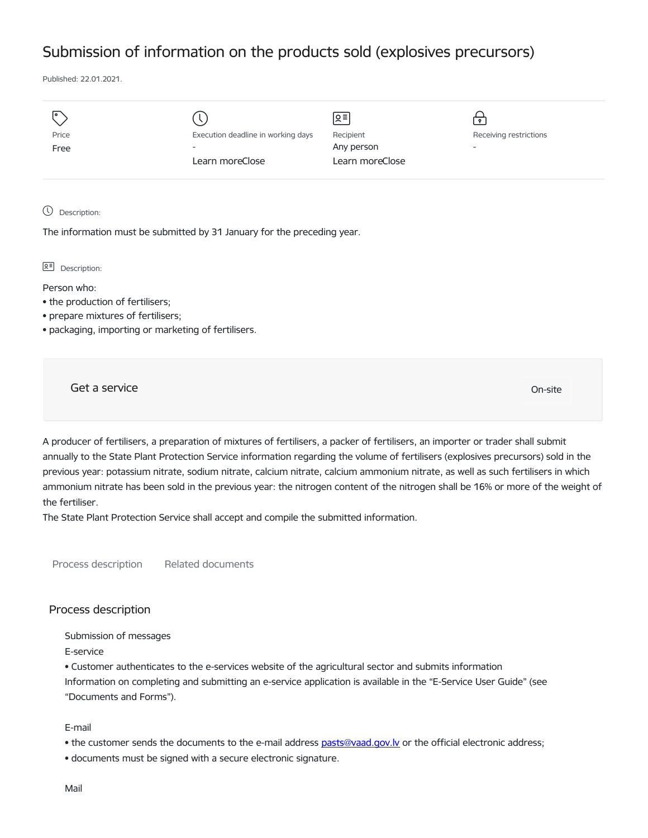## Submission of information on the products sold (explosives precursors)

Published: 22.01.2021.

| I۰    |                                    | Զ≡              | $\mathbf{P}$             |
|-------|------------------------------------|-----------------|--------------------------|
| Price | Execution deadline in working days | Recipient       | Receiving restrictions   |
| Free  | $\overline{\phantom{a}}$           | Any person      | $\overline{\phantom{0}}$ |
|       | Learn moreClose                    | Learn moreClose |                          |
|       |                                    |                 |                          |
|       |                                    |                 |                          |

Description:

The information must be submitted by 31 January for the preceding year.

**오** Description:

Person who:

- the production of fertilisers;
- prepare mixtures of fertilisers;
- packaging, importing or marketing of fertilisers.

Get a service On-site

A producer of fertilisers, a preparation of mixtures of fertilisers, a packer of fertilisers, an importer or trader shall submit annually to the State Plant Protection Service information regarding the volume of fertilisers (explosives precursors) sold in the previous year: potassium nitrate, sodium nitrate, calcium nitrate, calcium ammonium nitrate, as well as such fertilisers in which ammonium nitrate has been sold in the previous year: the nitrogen content of the nitrogen shall be 16% or more of the weight of the fertiliser.

The State Plant Protection Service shall accept and compile the submitted information.

Process description Related documents

## Process description

Submission of messages

E-service

• Customer authenticates to the e-services website of the agricultural sector and submits information Information on completing and submitting an e-service application is available in the "E-Service User Guide" (see "Documents and Forms").

E-mail

- the customer sends the documents to the e-mail address [pasts@vaad.gov.lv](mailto:pasts@vaad.gov.lv) or the official electronic address;
- documents must be signed with a secure electronic signature.

Mail